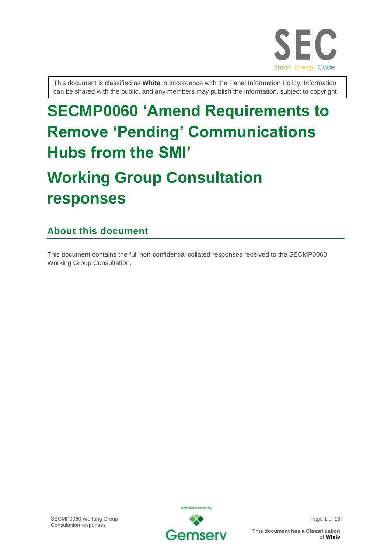

This document is classified as **White** in accordance with the Panel Information Policy. Information can be shared with the public, and any members may publish the information, subject to copyright.

# **SECMP0060 'Amend Requirements to Remove 'Pending' Communications Hubs from the SMI'**

## **Working Group Consultation responses**

#### **About this document**

This document contains the full non-confidential collated responses received to the SECMP0060 Working Group Consultation.



Gemsery

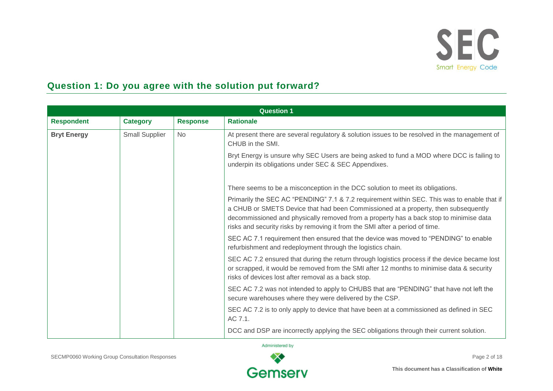

#### **Question 1: Do you agree with the solution put forward?**

|                    | <b>Question 1</b>     |                 |                                                                                                                                                                                                                                                                                                                                                             |  |  |
|--------------------|-----------------------|-----------------|-------------------------------------------------------------------------------------------------------------------------------------------------------------------------------------------------------------------------------------------------------------------------------------------------------------------------------------------------------------|--|--|
| <b>Respondent</b>  | <b>Category</b>       | <b>Response</b> | <b>Rationale</b>                                                                                                                                                                                                                                                                                                                                            |  |  |
| <b>Bryt Energy</b> | <b>Small Supplier</b> | <b>No</b>       | At present there are several regulatory & solution issues to be resolved in the management of<br>CHUB in the SMI.                                                                                                                                                                                                                                           |  |  |
|                    |                       |                 | Bryt Energy is unsure why SEC Users are being asked to fund a MOD where DCC is failing to<br>underpin its obligations under SEC & SEC Appendixes.                                                                                                                                                                                                           |  |  |
|                    |                       |                 | There seems to be a misconception in the DCC solution to meet its obligations.                                                                                                                                                                                                                                                                              |  |  |
|                    |                       |                 | Primarily the SEC AC "PENDING" 7.1 & 7.2 requirement within SEC. This was to enable that if<br>a CHUB or SMETS Device that had been Commissioned at a property, then subsequently<br>decommissioned and physically removed from a property has a back stop to minimise data<br>risks and security risks by removing it from the SMI after a period of time. |  |  |
|                    |                       |                 | SEC AC 7.1 requirement then ensured that the device was moved to "PENDING" to enable<br>refurbishment and redeployment through the logistics chain.                                                                                                                                                                                                         |  |  |
|                    |                       |                 | SEC AC 7.2 ensured that during the return through logistics process if the device became lost<br>or scrapped, it would be removed from the SMI after 12 months to minimise data & security<br>risks of devices lost after removal as a back stop.                                                                                                           |  |  |
|                    |                       |                 | SEC AC 7.2 was not intended to apply to CHUBS that are "PENDING" that have not left the<br>secure warehouses where they were delivered by the CSP.                                                                                                                                                                                                          |  |  |
|                    |                       |                 | SEC AC 7.2 is to only apply to device that have been at a commissioned as defined in SEC<br>AC 7.1.                                                                                                                                                                                                                                                         |  |  |
|                    |                       |                 | DCC and DSP are incorrectly applying the SEC obligations through their current solution.                                                                                                                                                                                                                                                                    |  |  |

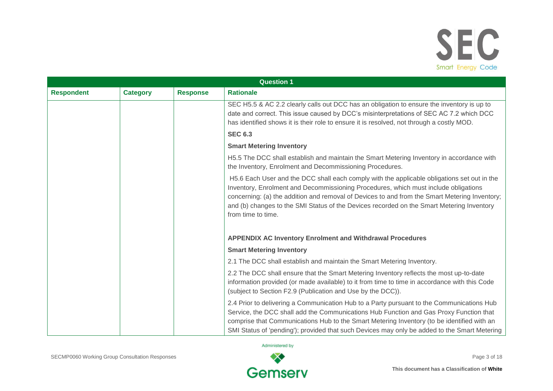

|                   |                 |                 | <b>Question 1</b>                                                                                                                                                                                                                                                                                                                                                                                      |
|-------------------|-----------------|-----------------|--------------------------------------------------------------------------------------------------------------------------------------------------------------------------------------------------------------------------------------------------------------------------------------------------------------------------------------------------------------------------------------------------------|
| <b>Respondent</b> | <b>Category</b> | <b>Response</b> | <b>Rationale</b>                                                                                                                                                                                                                                                                                                                                                                                       |
|                   |                 |                 | SEC H5.5 & AC 2.2 clearly calls out DCC has an obligation to ensure the inventory is up to<br>date and correct. This issue caused by DCC's misinterpretations of SEC AC 7.2 which DCC<br>has identified shows it is their role to ensure it is resolved, not through a costly MOD.                                                                                                                     |
|                   |                 |                 | <b>SEC 6.3</b>                                                                                                                                                                                                                                                                                                                                                                                         |
|                   |                 |                 | <b>Smart Metering Inventory</b>                                                                                                                                                                                                                                                                                                                                                                        |
|                   |                 |                 | H5.5 The DCC shall establish and maintain the Smart Metering Inventory in accordance with<br>the Inventory, Enrolment and Decommissioning Procedures.                                                                                                                                                                                                                                                  |
|                   |                 |                 | H5.6 Each User and the DCC shall each comply with the applicable obligations set out in the<br>Inventory, Enrolment and Decommissioning Procedures, which must include obligations<br>concerning: (a) the addition and removal of Devices to and from the Smart Metering Inventory;<br>and (b) changes to the SMI Status of the Devices recorded on the Smart Metering Inventory<br>from time to time. |
|                   |                 |                 | <b>APPENDIX AC Inventory Enrolment and Withdrawal Procedures</b>                                                                                                                                                                                                                                                                                                                                       |
|                   |                 |                 | <b>Smart Metering Inventory</b>                                                                                                                                                                                                                                                                                                                                                                        |
|                   |                 |                 | 2.1 The DCC shall establish and maintain the Smart Metering Inventory.                                                                                                                                                                                                                                                                                                                                 |
|                   |                 |                 | 2.2 The DCC shall ensure that the Smart Metering Inventory reflects the most up-to-date<br>information provided (or made available) to it from time to time in accordance with this Code<br>(subject to Section F2.9 (Publication and Use by the DCC)).                                                                                                                                                |
|                   |                 |                 | 2.4 Prior to delivering a Communication Hub to a Party pursuant to the Communications Hub<br>Service, the DCC shall add the Communications Hub Function and Gas Proxy Function that<br>comprise that Communications Hub to the Smart Metering Inventory (to be identified with an<br>SMI Status of 'pending'); provided that such Devices may only be added to the Smart Metering                      |

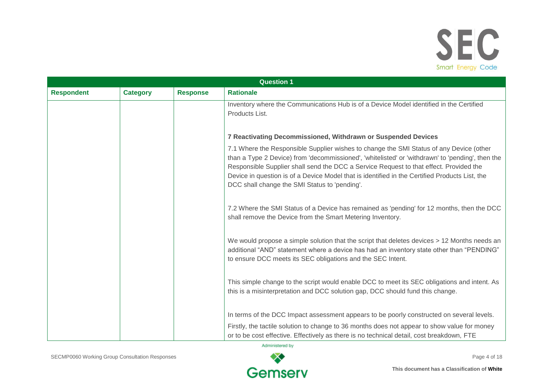

|                   |                 |                 | <b>Question 1</b>                                                                                                                                                                                                                                                                                                                                                                                                                        |
|-------------------|-----------------|-----------------|------------------------------------------------------------------------------------------------------------------------------------------------------------------------------------------------------------------------------------------------------------------------------------------------------------------------------------------------------------------------------------------------------------------------------------------|
| <b>Respondent</b> | <b>Category</b> | <b>Response</b> | <b>Rationale</b>                                                                                                                                                                                                                                                                                                                                                                                                                         |
|                   |                 |                 | Inventory where the Communications Hub is of a Device Model identified in the Certified<br>Products List.                                                                                                                                                                                                                                                                                                                                |
|                   |                 |                 | 7 Reactivating Decommissioned, Withdrawn or Suspended Devices                                                                                                                                                                                                                                                                                                                                                                            |
|                   |                 |                 | 7.1 Where the Responsible Supplier wishes to change the SMI Status of any Device (other<br>than a Type 2 Device) from 'decommissioned', 'whitelisted' or 'withdrawn' to 'pending', then the<br>Responsible Supplier shall send the DCC a Service Request to that effect. Provided the<br>Device in question is of a Device Model that is identified in the Certified Products List, the<br>DCC shall change the SMI Status to 'pending'. |
|                   |                 |                 | 7.2 Where the SMI Status of a Device has remained as 'pending' for 12 months, then the DCC<br>shall remove the Device from the Smart Metering Inventory.                                                                                                                                                                                                                                                                                 |
|                   |                 |                 | We would propose a simple solution that the script that deletes devices > 12 Months needs an<br>additional "AND" statement where a device has had an inventory state other than "PENDING"<br>to ensure DCC meets its SEC obligations and the SEC Intent.                                                                                                                                                                                 |
|                   |                 |                 | This simple change to the script would enable DCC to meet its SEC obligations and intent. As<br>this is a misinterpretation and DCC solution gap, DCC should fund this change.                                                                                                                                                                                                                                                           |
|                   |                 |                 | In terms of the DCC Impact assessment appears to be poorly constructed on several levels.                                                                                                                                                                                                                                                                                                                                                |
|                   |                 |                 | Firstly, the tactile solution to change to 36 months does not appear to show value for money<br>or to be cost effective. Effectively as there is no technical detail, cost breakdown, FTE                                                                                                                                                                                                                                                |

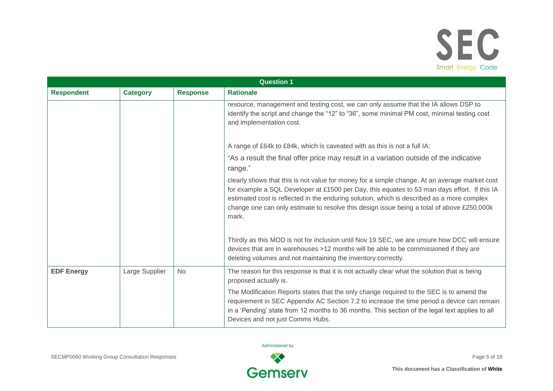

|                   |                 |                 | <b>Question 1</b>                                                                                                                                                                                                                                                                                                                                                                                  |
|-------------------|-----------------|-----------------|----------------------------------------------------------------------------------------------------------------------------------------------------------------------------------------------------------------------------------------------------------------------------------------------------------------------------------------------------------------------------------------------------|
| <b>Respondent</b> | <b>Category</b> | <b>Response</b> | <b>Rationale</b>                                                                                                                                                                                                                                                                                                                                                                                   |
|                   |                 |                 | resource, management and testing cost, we can only assume that the IA allows DSP to<br>identify the script and change the "12" to "36", some minimal PM cost, minimal testing cost<br>and implementation cost.                                                                                                                                                                                     |
|                   |                 |                 | A range of £64k to £84k, which is caveated with as this is not a full IA:                                                                                                                                                                                                                                                                                                                          |
|                   |                 |                 | "As a result the final offer price may result in a variation outside of the indicative<br>range."                                                                                                                                                                                                                                                                                                  |
|                   |                 |                 | clearly shows that this is not value for money for a simple change. At an average market cost<br>for example a SQL Developer at £1500 per Day, this equates to 53 man days effort. If this IA<br>estimated cost is reflected in the enduring solution, which is described as a more complex<br>change one can only estimate to resolve this design issue being a total of above £250,000k<br>mark. |
|                   |                 |                 | Thirdly as this MOD is not for inclusion until Nov 19 SEC, we are unsure how DCC will ensure<br>devices that are in warehouses >12 months will be able to be commissioned if they are<br>deleting volumes and not maintaining the inventory correctly.                                                                                                                                             |
| <b>EDF Energy</b> | Large Supplier  | <b>No</b>       | The reason for this response is that it is not actually clear what the solution that is being<br>proposed actually is.                                                                                                                                                                                                                                                                             |
|                   |                 |                 | The Modification Reports states that the only change required to the SEC is to amend the<br>requirement in SEC Appendix AC Section 7.2 to increase the time period a device can remain<br>in a 'Pending' state from 12 months to 36 months. This section of the legal text applies to all<br>Devices and not just Comms Hubs.                                                                      |

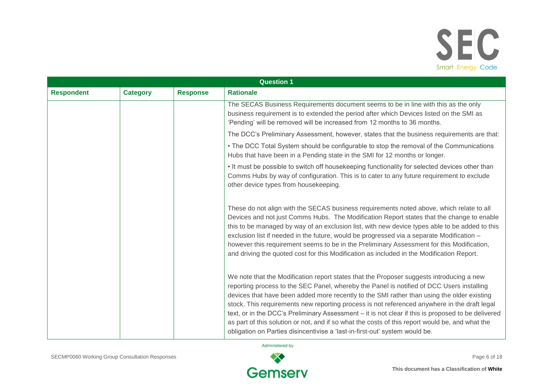

|                   |                 |                 | <b>Question 1</b>                                                                                                                                                                                                                                                                                                                                                                                                                                                                                                                                                                                                                                                           |
|-------------------|-----------------|-----------------|-----------------------------------------------------------------------------------------------------------------------------------------------------------------------------------------------------------------------------------------------------------------------------------------------------------------------------------------------------------------------------------------------------------------------------------------------------------------------------------------------------------------------------------------------------------------------------------------------------------------------------------------------------------------------------|
| <b>Respondent</b> | <b>Category</b> | <b>Response</b> | <b>Rationale</b>                                                                                                                                                                                                                                                                                                                                                                                                                                                                                                                                                                                                                                                            |
|                   |                 |                 | The SECAS Business Requirements document seems to be in line with this as the only<br>business requirement is to extended the period after which Devices listed on the SMI as<br>'Pending' will be removed will be increased from 12 months to 36 months.                                                                                                                                                                                                                                                                                                                                                                                                                   |
|                   |                 |                 | The DCC's Preliminary Assessment, however, states that the business requirements are that:                                                                                                                                                                                                                                                                                                                                                                                                                                                                                                                                                                                  |
|                   |                 |                 | • The DCC Total System should be configurable to stop the removal of the Communications<br>Hubs that have been in a Pending state in the SMI for 12 months or longer.                                                                                                                                                                                                                                                                                                                                                                                                                                                                                                       |
|                   |                 |                 | . It must be possible to switch off housekeeping functionality for selected devices other than<br>Comms Hubs by way of configuration. This is to cater to any future requirement to exclude<br>other device types from housekeeping.                                                                                                                                                                                                                                                                                                                                                                                                                                        |
|                   |                 |                 | These do not align with the SECAS business requirements noted above, which relate to all<br>Devices and not just Comms Hubs. The Modification Report states that the change to enable<br>this to be managed by way of an exclusion list, with new device types able to be added to this<br>exclusion list if needed in the future, would be progressed via a separate Modification -<br>however this requirement seems to be in the Preliminary Assessment for this Modification,<br>and driving the quoted cost for this Modification as included in the Modification Report.                                                                                              |
|                   |                 |                 | We note that the Modification report states that the Proposer suggests introducing a new<br>reporting process to the SEC Panel, whereby the Panel is notified of DCC Users installing<br>devices that have been added more recently to the SMI rather than using the older existing<br>stock. This requirements new reporting process is not referenced anywhere in the draft legal<br>text, or in the DCC's Preliminary Assessment – it is not clear if this is proposed to be delivered<br>as part of this solution or not, and if so what the costs of this report would be, and what the<br>obligation on Parties disincentivise a 'last-in-first-out' system would be. |

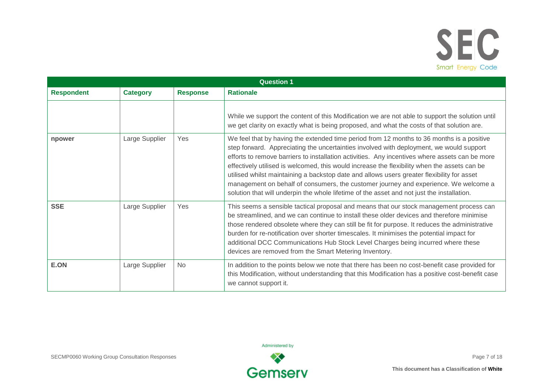

|                   | <b>Question 1</b> |                 |                                                                                                                                                                                                                                                                                                                                                                                                                                                                                                                                                                                                                                                                            |  |
|-------------------|-------------------|-----------------|----------------------------------------------------------------------------------------------------------------------------------------------------------------------------------------------------------------------------------------------------------------------------------------------------------------------------------------------------------------------------------------------------------------------------------------------------------------------------------------------------------------------------------------------------------------------------------------------------------------------------------------------------------------------------|--|
| <b>Respondent</b> | <b>Category</b>   | <b>Response</b> | <b>Rationale</b>                                                                                                                                                                                                                                                                                                                                                                                                                                                                                                                                                                                                                                                           |  |
|                   |                   |                 | While we support the content of this Modification we are not able to support the solution until<br>we get clarity on exactly what is being proposed, and what the costs of that solution are.                                                                                                                                                                                                                                                                                                                                                                                                                                                                              |  |
| npower            | Large Supplier    | Yes             | We feel that by having the extended time period from 12 months to 36 months is a positive<br>step forward. Appreciating the uncertainties involved with deployment, we would support<br>efforts to remove barriers to installation activities. Any incentives where assets can be more<br>effectively utilised is welcomed, this would increase the flexibility when the assets can be<br>utilised whilst maintaining a backstop date and allows users greater flexibility for asset<br>management on behalf of consumers, the customer journey and experience. We welcome a<br>solution that will underpin the whole lifetime of the asset and not just the installation. |  |
| <b>SSE</b>        | Large Supplier    | Yes             | This seems a sensible tactical proposal and means that our stock management process can<br>be streamlined, and we can continue to install these older devices and therefore minimise<br>those rendered obsolete where they can still be fit for purpose. It reduces the administrative<br>burden for re-notification over shorter timescales. It minimises the potential impact for<br>additional DCC Communications Hub Stock Level Charges being incurred where these<br>devices are removed from the Smart Metering Inventory.                                                                                                                                          |  |
| E.ON              | Large Supplier    | <b>No</b>       | In addition to the points below we note that there has been no cost-benefit case provided for<br>this Modification, without understanding that this Modification has a positive cost-benefit case<br>we cannot support it.                                                                                                                                                                                                                                                                                                                                                                                                                                                 |  |

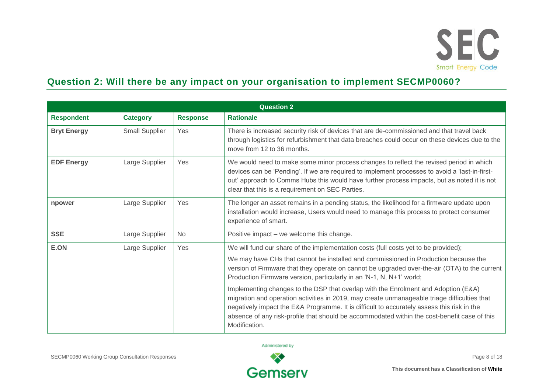

### **Question 2: Will there be any impact on your organisation to implement SECMP0060?**

|                    | <b>Question 2</b>     |                 |                                                                                                                                                                                                                                                                                                                                                                                                   |  |  |
|--------------------|-----------------------|-----------------|---------------------------------------------------------------------------------------------------------------------------------------------------------------------------------------------------------------------------------------------------------------------------------------------------------------------------------------------------------------------------------------------------|--|--|
| <b>Respondent</b>  | <b>Category</b>       | <b>Response</b> | <b>Rationale</b>                                                                                                                                                                                                                                                                                                                                                                                  |  |  |
| <b>Bryt Energy</b> | <b>Small Supplier</b> | Yes             | There is increased security risk of devices that are de-commissioned and that travel back<br>through logistics for refurbishment that data breaches could occur on these devices due to the<br>move from 12 to 36 months.                                                                                                                                                                         |  |  |
| <b>EDF Energy</b>  | Large Supplier        | Yes             | We would need to make some minor process changes to reflect the revised period in which<br>devices can be 'Pending'. If we are required to implement processes to avoid a 'last-in-first-<br>out' approach to Comms Hubs this would have further process impacts, but as noted it is not<br>clear that this is a requirement on SEC Parties.                                                      |  |  |
| npower             | Large Supplier        | Yes             | The longer an asset remains in a pending status, the likelihood for a firmware update upon<br>installation would increase, Users would need to manage this process to protect consumer<br>experience of smart.                                                                                                                                                                                    |  |  |
| <b>SSE</b>         | Large Supplier        | <b>No</b>       | Positive impact – we welcome this change.                                                                                                                                                                                                                                                                                                                                                         |  |  |
| E.ON               | Large Supplier        | Yes             | We will fund our share of the implementation costs (full costs yet to be provided);                                                                                                                                                                                                                                                                                                               |  |  |
|                    |                       |                 | We may have CHs that cannot be installed and commissioned in Production because the<br>version of Firmware that they operate on cannot be upgraded over-the-air (OTA) to the current<br>Production Firmware version, particularly in an 'N-1, N, N+1' world;                                                                                                                                      |  |  |
|                    |                       |                 | Implementing changes to the DSP that overlap with the Enrolment and Adoption (E&A)<br>migration and operation activities in 2019, may create unmanageable triage difficulties that<br>negatively impact the E&A Programme. It is difficult to accurately assess this risk in the<br>absence of any risk-profile that should be accommodated within the cost-benefit case of this<br>Modification. |  |  |

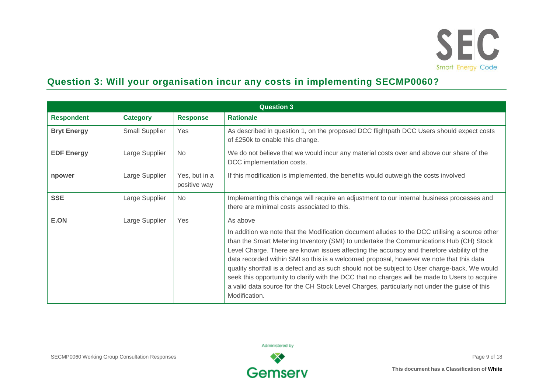

#### **Question 3: Will your organisation incur any costs in implementing SECMP0060?**

|                    | <b>Question 3</b>     |                               |                                                                                                                                                                                                                                                                                                                                                                                                                                                                                                                                                                                                                                                                                                                   |  |  |
|--------------------|-----------------------|-------------------------------|-------------------------------------------------------------------------------------------------------------------------------------------------------------------------------------------------------------------------------------------------------------------------------------------------------------------------------------------------------------------------------------------------------------------------------------------------------------------------------------------------------------------------------------------------------------------------------------------------------------------------------------------------------------------------------------------------------------------|--|--|
| <b>Respondent</b>  | <b>Category</b>       | <b>Response</b>               | <b>Rationale</b>                                                                                                                                                                                                                                                                                                                                                                                                                                                                                                                                                                                                                                                                                                  |  |  |
| <b>Bryt Energy</b> | <b>Small Supplier</b> | Yes                           | As described in question 1, on the proposed DCC flightpath DCC Users should expect costs<br>of £250k to enable this change.                                                                                                                                                                                                                                                                                                                                                                                                                                                                                                                                                                                       |  |  |
| <b>EDF Energy</b>  | Large Supplier        | <b>No</b>                     | We do not believe that we would incur any material costs over and above our share of the<br>DCC implementation costs.                                                                                                                                                                                                                                                                                                                                                                                                                                                                                                                                                                                             |  |  |
| npower             | Large Supplier        | Yes, but in a<br>positive way | If this modification is implemented, the benefits would outweigh the costs involved                                                                                                                                                                                                                                                                                                                                                                                                                                                                                                                                                                                                                               |  |  |
| <b>SSE</b>         | Large Supplier        | No                            | Implementing this change will require an adjustment to our internal business processes and<br>there are minimal costs associated to this.                                                                                                                                                                                                                                                                                                                                                                                                                                                                                                                                                                         |  |  |
| E.ON               | Large Supplier        | Yes                           | As above<br>In addition we note that the Modification document alludes to the DCC utilising a source other<br>than the Smart Metering Inventory (SMI) to undertake the Communications Hub (CH) Stock<br>Level Charge. There are known issues affecting the accuracy and therefore viability of the<br>data recorded within SMI so this is a welcomed proposal, however we note that this data<br>quality shortfall is a defect and as such should not be subject to User charge-back. We would<br>seek this opportunity to clarify with the DCC that no charges will be made to Users to acquire<br>a valid data source for the CH Stock Level Charges, particularly not under the guise of this<br>Modification. |  |  |

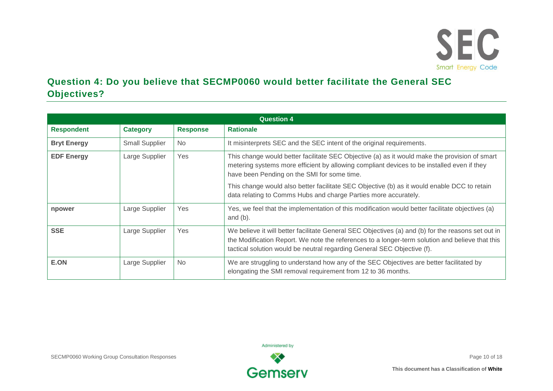

#### **Question 4: Do you believe that SECMP0060 would better facilitate the General SEC Objectives?**

|                    | <b>Question 4</b>     |                 |                                                                                                                                                                                                                                                                                  |  |  |
|--------------------|-----------------------|-----------------|----------------------------------------------------------------------------------------------------------------------------------------------------------------------------------------------------------------------------------------------------------------------------------|--|--|
| <b>Respondent</b>  | <b>Category</b>       | <b>Response</b> | <b>Rationale</b>                                                                                                                                                                                                                                                                 |  |  |
| <b>Bryt Energy</b> | <b>Small Supplier</b> | No.             | It misinterprets SEC and the SEC intent of the original requirements.                                                                                                                                                                                                            |  |  |
| <b>EDF Energy</b>  | Large Supplier        | Yes             | This change would better facilitate SEC Objective (a) as it would make the provision of smart<br>metering systems more efficient by allowing compliant devices to be installed even if they<br>have been Pending on the SMI for some time.                                       |  |  |
|                    |                       |                 | This change would also better facilitate SEC Objective (b) as it would enable DCC to retain<br>data relating to Comms Hubs and charge Parties more accurately.                                                                                                                   |  |  |
| npower             | Large Supplier        | Yes             | Yes, we feel that the implementation of this modification would better facilitate objectives (a)<br>and $(b)$ .                                                                                                                                                                  |  |  |
| <b>SSE</b>         | Large Supplier        | Yes             | We believe it will better facilitate General SEC Objectives (a) and (b) for the reasons set out in<br>the Modification Report. We note the references to a longer-term solution and believe that this<br>tactical solution would be neutral regarding General SEC Objective (f). |  |  |
| E.ON               | Large Supplier        | <b>No</b>       | We are struggling to understand how any of the SEC Objectives are better facilitated by<br>elongating the SMI removal requirement from 12 to 36 months.                                                                                                                          |  |  |

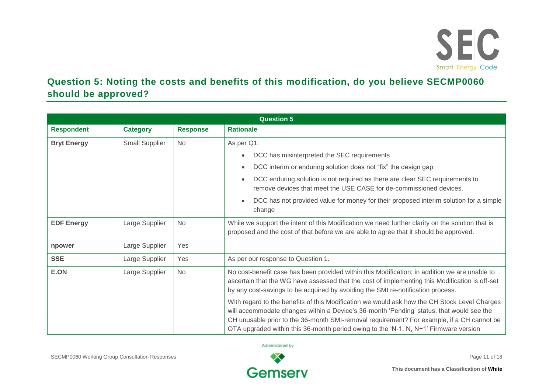

#### **Question 5: Noting the costs and benefits of this modification, do you believe SECMP0060 should be approved?**

| <b>Question 5</b>  |                       |                 |                                                                                                                                                                                                                                                                                                                                                                               |
|--------------------|-----------------------|-----------------|-------------------------------------------------------------------------------------------------------------------------------------------------------------------------------------------------------------------------------------------------------------------------------------------------------------------------------------------------------------------------------|
| <b>Respondent</b>  | <b>Category</b>       | <b>Response</b> | <b>Rationale</b>                                                                                                                                                                                                                                                                                                                                                              |
| <b>Bryt Energy</b> | <b>Small Supplier</b> | <b>No</b>       | As per Q1:                                                                                                                                                                                                                                                                                                                                                                    |
|                    |                       |                 | DCC has misinterpreted the SEC requirements                                                                                                                                                                                                                                                                                                                                   |
|                    |                       |                 | DCC interim or enduring solution does not "fix" the design gap<br>$\bullet$                                                                                                                                                                                                                                                                                                   |
|                    |                       |                 | DCC enduring solution is not required as there are clear SEC requirements to<br>$\bullet$<br>remove devices that meet the USE CASE for de-commissioned devices.                                                                                                                                                                                                               |
|                    |                       |                 | DCC has not provided value for money for their proposed interim solution for a simple<br>$\bullet$<br>change                                                                                                                                                                                                                                                                  |
| <b>EDF Energy</b>  | Large Supplier        | <b>No</b>       | While we support the intent of this Modification we need further clarity on the solution that is<br>proposed and the cost of that before we are able to agree that it should be approved.                                                                                                                                                                                     |
| npower             | Large Supplier        | Yes             |                                                                                                                                                                                                                                                                                                                                                                               |
| <b>SSE</b>         | Large Supplier        | Yes             | As per our response to Question 1.                                                                                                                                                                                                                                                                                                                                            |
| E.ON               | Large Supplier        | <b>No</b>       | No cost-benefit case has been provided within this Modification; in addition we are unable to<br>ascertain that the WG have assessed that the cost of implementing this Modification is off-set<br>by any cost-savings to be acquired by avoiding the SMI re-notification process.                                                                                            |
|                    |                       |                 | With regard to the benefits of this Modification we would ask how the CH Stock Level Charges<br>will accommodate changes within a Device's 36-month 'Pending' status, that would see the<br>CH unusable prior to the 36-month SMI-removal requirement? For example, if a CH cannot be<br>OTA upgraded within this 36-month period owing to the 'N-1, N, N+1' Firmware version |

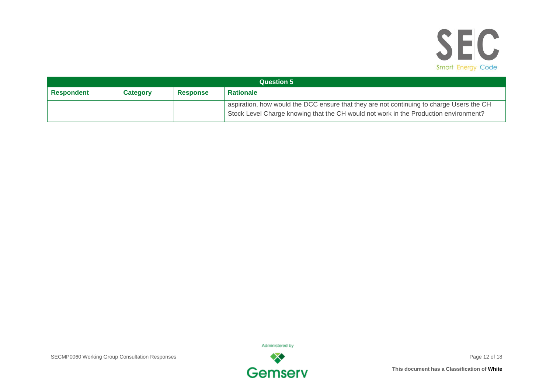

| <b>Question 5</b> |                 |                 |                                                                                                                                                                                  |
|-------------------|-----------------|-----------------|----------------------------------------------------------------------------------------------------------------------------------------------------------------------------------|
| Respondent        | <b>Category</b> | <b>Response</b> | <b>Rationale</b>                                                                                                                                                                 |
|                   |                 |                 | aspiration, how would the DCC ensure that they are not continuing to charge Users the CH<br>Stock Level Charge knowing that the CH would not work in the Production environment? |

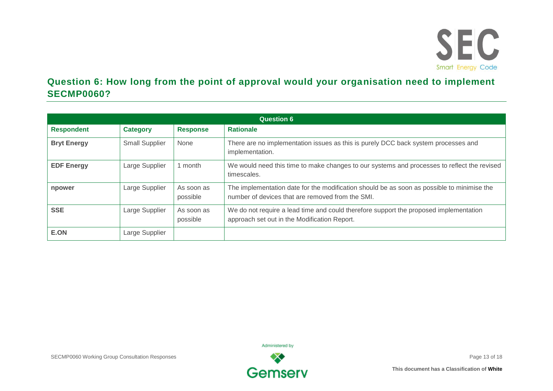

#### **Question 6: How long from the point of approval would your organisation need to implement SECMP0060?**

| <b>Question 6</b>  |                       |                        |                                                                                                                                                |  |
|--------------------|-----------------------|------------------------|------------------------------------------------------------------------------------------------------------------------------------------------|--|
| <b>Respondent</b>  | <b>Category</b>       | <b>Response</b>        | <b>Rationale</b>                                                                                                                               |  |
| <b>Bryt Energy</b> | <b>Small Supplier</b> | None                   | There are no implementation issues as this is purely DCC back system processes and<br>implementation.                                          |  |
| <b>EDF Energy</b>  | Large Supplier        | 1 month                | We would need this time to make changes to our systems and processes to reflect the revised<br>timescales.                                     |  |
| npower             | Large Supplier        | As soon as<br>possible | The implementation date for the modification should be as soon as possible to minimise the<br>number of devices that are removed from the SMI. |  |
| <b>SSE</b>         | Large Supplier        | As soon as<br>possible | We do not require a lead time and could therefore support the proposed implementation<br>approach set out in the Modification Report.          |  |
| E.ON               | Large Supplier        |                        |                                                                                                                                                |  |

SECMP0060 Working Group Consultation Responses **Page 13 of 18** and the second of the second page 13 of 18 and the second page 13 of 18

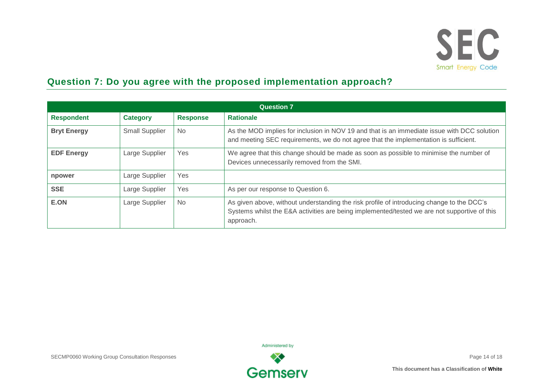

#### **Question 7: Do you agree with the proposed implementation approach?**

| <b>Question 7</b>  |                       |                 |                                                                                                                                                                                                        |  |
|--------------------|-----------------------|-----------------|--------------------------------------------------------------------------------------------------------------------------------------------------------------------------------------------------------|--|
| <b>Respondent</b>  | <b>Category</b>       | <b>Response</b> | <b>Rationale</b>                                                                                                                                                                                       |  |
| <b>Bryt Energy</b> | <b>Small Supplier</b> | <b>No</b>       | As the MOD implies for inclusion in NOV 19 and that is an immediate issue with DCC solution<br>and meeting SEC requirements, we do not agree that the implementation is sufficient.                    |  |
| <b>EDF Energy</b>  | Large Supplier        | Yes             | We agree that this change should be made as soon as possible to minimise the number of<br>Devices unnecessarily removed from the SMI.                                                                  |  |
| npower             | Large Supplier        | Yes             |                                                                                                                                                                                                        |  |
| <b>SSE</b>         | Large Supplier        | Yes             | As per our response to Question 6.                                                                                                                                                                     |  |
| E.ON               | Large Supplier        | <b>No</b>       | As given above, without understanding the risk profile of introducing change to the DCC's<br>Systems whilst the E&A activities are being implemented/tested we are not supportive of this<br>approach. |  |

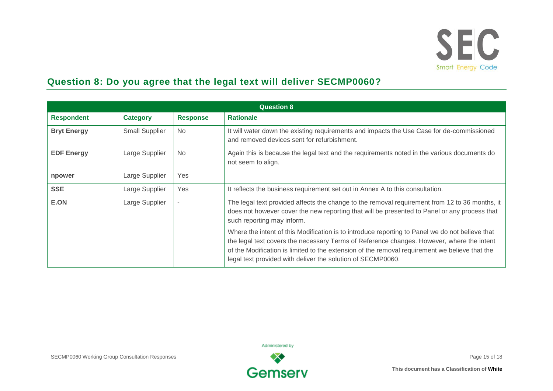

#### **Question 8: Do you agree that the legal text will deliver SECMP0060?**

| <b>Question 8</b>  |                       |                 |                                                                                                                                                                                                                                                                                                                                                               |  |
|--------------------|-----------------------|-----------------|---------------------------------------------------------------------------------------------------------------------------------------------------------------------------------------------------------------------------------------------------------------------------------------------------------------------------------------------------------------|--|
| <b>Respondent</b>  | <b>Category</b>       | <b>Response</b> | <b>Rationale</b>                                                                                                                                                                                                                                                                                                                                              |  |
| <b>Bryt Energy</b> | <b>Small Supplier</b> | N <sub>o</sub>  | It will water down the existing requirements and impacts the Use Case for de-commissioned<br>and removed devices sent for refurbishment.                                                                                                                                                                                                                      |  |
| <b>EDF Energy</b>  | Large Supplier        | N <sub>o</sub>  | Again this is because the legal text and the requirements noted in the various documents do<br>not seem to align.                                                                                                                                                                                                                                             |  |
| npower             | Large Supplier        | Yes             |                                                                                                                                                                                                                                                                                                                                                               |  |
| <b>SSE</b>         | Large Supplier        | Yes             | It reflects the business requirement set out in Annex A to this consultation.                                                                                                                                                                                                                                                                                 |  |
| E.ON               | Large Supplier        |                 | The legal text provided affects the change to the removal requirement from 12 to 36 months, it<br>does not however cover the new reporting that will be presented to Panel or any process that<br>such reporting may inform.                                                                                                                                  |  |
|                    |                       |                 | Where the intent of this Modification is to introduce reporting to Panel we do not believe that<br>the legal text covers the necessary Terms of Reference changes. However, where the intent<br>of the Modification is limited to the extension of the removal requirement we believe that the<br>legal text provided with deliver the solution of SECMP0060. |  |

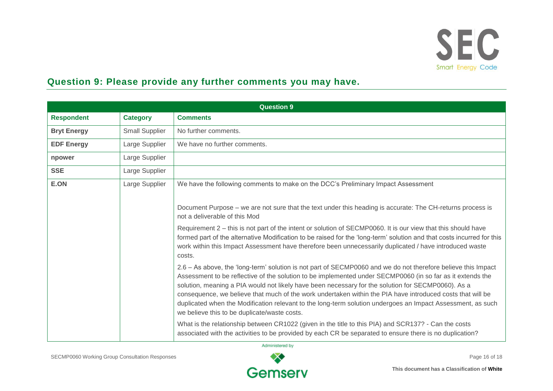

#### **Question 9: Please provide any further comments you may have.**

|                    |                       | <b>Question 9</b>                                                                                                                                                                                                                                                                                                                                                                                                                                                                                                                                                                                                                                                                                                                                                                                                                                                                                                                                                                                                                                                                                                                                                                                                                                                                                                                                 |
|--------------------|-----------------------|---------------------------------------------------------------------------------------------------------------------------------------------------------------------------------------------------------------------------------------------------------------------------------------------------------------------------------------------------------------------------------------------------------------------------------------------------------------------------------------------------------------------------------------------------------------------------------------------------------------------------------------------------------------------------------------------------------------------------------------------------------------------------------------------------------------------------------------------------------------------------------------------------------------------------------------------------------------------------------------------------------------------------------------------------------------------------------------------------------------------------------------------------------------------------------------------------------------------------------------------------------------------------------------------------------------------------------------------------|
| <b>Respondent</b>  | <b>Category</b>       | <b>Comments</b>                                                                                                                                                                                                                                                                                                                                                                                                                                                                                                                                                                                                                                                                                                                                                                                                                                                                                                                                                                                                                                                                                                                                                                                                                                                                                                                                   |
| <b>Bryt Energy</b> | <b>Small Supplier</b> | No further comments.                                                                                                                                                                                                                                                                                                                                                                                                                                                                                                                                                                                                                                                                                                                                                                                                                                                                                                                                                                                                                                                                                                                                                                                                                                                                                                                              |
| <b>EDF Energy</b>  | Large Supplier        | We have no further comments.                                                                                                                                                                                                                                                                                                                                                                                                                                                                                                                                                                                                                                                                                                                                                                                                                                                                                                                                                                                                                                                                                                                                                                                                                                                                                                                      |
| npower             | Large Supplier        |                                                                                                                                                                                                                                                                                                                                                                                                                                                                                                                                                                                                                                                                                                                                                                                                                                                                                                                                                                                                                                                                                                                                                                                                                                                                                                                                                   |
| <b>SSE</b>         | Large Supplier        |                                                                                                                                                                                                                                                                                                                                                                                                                                                                                                                                                                                                                                                                                                                                                                                                                                                                                                                                                                                                                                                                                                                                                                                                                                                                                                                                                   |
| E.ON               | Large Supplier        | We have the following comments to make on the DCC's Preliminary Impact Assessment                                                                                                                                                                                                                                                                                                                                                                                                                                                                                                                                                                                                                                                                                                                                                                                                                                                                                                                                                                                                                                                                                                                                                                                                                                                                 |
|                    |                       | Document Purpose – we are not sure that the text under this heading is accurate: The CH-returns process is<br>not a deliverable of this Mod<br>Requirement 2 – this is not part of the intent or solution of SECMP0060. It is our view that this should have<br>formed part of the alternative Modification to be raised for the 'long-term' solution and that costs incurred for this<br>work within this Impact Assessment have therefore been unnecessarily duplicated / have introduced waste<br>costs.<br>2.6 - As above, the 'long-term' solution is not part of SECMP0060 and we do not therefore believe this Impact<br>Assessment to be reflective of the solution to be implemented under SECMP0060 (in so far as it extends the<br>solution, meaning a PIA would not likely have been necessary for the solution for SECMP0060). As a<br>consequence, we believe that much of the work undertaken within the PIA have introduced costs that will be<br>duplicated when the Modification relevant to the long-term solution undergoes an Impact Assessment, as such<br>we believe this to be duplicate/waste costs.<br>What is the relationship between CR1022 (given in the title to this PIA) and SCR137? - Can the costs<br>associated with the activities to be provided by each CR be separated to ensure there is no duplication? |

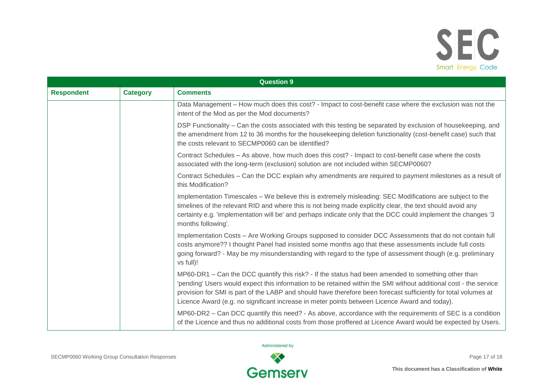

| <b>Question 9</b> |                 |                                                                                                                                                                                                                                                                                                                                                                                                                                              |  |  |
|-------------------|-----------------|----------------------------------------------------------------------------------------------------------------------------------------------------------------------------------------------------------------------------------------------------------------------------------------------------------------------------------------------------------------------------------------------------------------------------------------------|--|--|
| <b>Respondent</b> | <b>Category</b> | <b>Comments</b>                                                                                                                                                                                                                                                                                                                                                                                                                              |  |  |
|                   |                 | Data Management – How much does this cost? - Impact to cost-benefit case where the exclusion was not the<br>intent of the Mod as per the Mod documents?                                                                                                                                                                                                                                                                                      |  |  |
|                   |                 | DSP Functionality - Can the costs associated with this testing be separated by exclusion of housekeeping, and<br>the amendment from 12 to 36 months for the housekeeping deletion functionality (cost-benefit case) such that<br>the costs relevant to SECMP0060 can be identified?                                                                                                                                                          |  |  |
|                   |                 | Contract Schedules – As above, how much does this cost? - Impact to cost-benefit case where the costs<br>associated with the long-term (exclusion) solution are not included within SECMP0060?                                                                                                                                                                                                                                               |  |  |
|                   |                 | Contract Schedules – Can the DCC explain why amendments are required to payment milestones as a result of<br>this Modification?                                                                                                                                                                                                                                                                                                              |  |  |
|                   |                 | Implementation Timescales - We believe this is extremely misleading: SEC Modifications are subject to the<br>timelines of the relevant RID and where this is not being made explicitly clear, the text should avoid any<br>certainty e.g. 'implementation will be' and perhaps indicate only that the DCC could implement the changes '3<br>months following'.                                                                               |  |  |
|                   |                 | Implementation Costs - Are Working Groups supposed to consider DCC Assessments that do not contain full<br>costs anymore?? I thought Panel had insisted some months ago that these assessments include full costs<br>going forward? - May be my misunderstanding with regard to the type of assessment though (e.g. preliminary<br>vs full)!                                                                                                 |  |  |
|                   |                 | MP60-DR1 – Can the DCC quantify this risk? - If the status had been amended to something other than<br>'pending' Users would expect this information to be retained within the SMI without additional cost - the service<br>provision for SMI is part of the LABP and should have therefore been forecast sufficiently for total volumes at<br>Licence Award (e.g. no significant increase in meter points between Licence Award and today). |  |  |
|                   |                 | MP60-DR2 - Can DCC quantify this need? - As above, accordance with the requirements of SEC is a condition<br>of the Licence and thus no additional costs from those proffered at Licence Award would be expected by Users.                                                                                                                                                                                                                   |  |  |